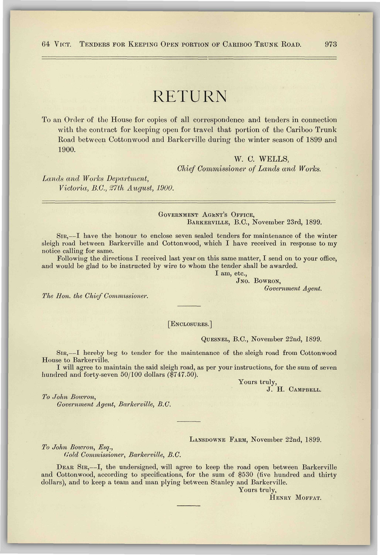# RETURN

To an Order of the House for copies of all correspondence and tenders in connection with the contract for keeping open for travel that portion of the Cariboo Trunk Road between Cottonwood and Barkerville during the winter season of 1899 and 1900.

> W. C. WELLS, *Chief Commissioner of Lands and Works.*

*Lands and Works Department, Victoria, B.C., 27th August, 1900.* 

#### GOVERNMENT AGENT'S OFFICE, BARKERVILLE, B.C., November 23rd, 1899.

SIR,—I have the honour to enclose seven sealed tenders for maintenance of the winter sleigh road between Barkerville and Cottonwood, which I have received in response to my notice calling for same.

Following the directions I received last year on this same matter, I send on to your office, and would be glad to be instructed by wire to whom the tender shall be awarded.

I am, etc.,

JNO. BOWRON,

*Government Agent.* 

*The Hon. the Chief Commissioner.* 

# [ENCLOSURES.]

QUESNEL, B.C., November 22nd, 1899.

SIR,—I hereby beg to tender for the maintenance of the sleigh road from Cottonwood House to Barkerville.

I will agree to maintain the said sleigh road, as per your instructions, for the sum of seven hundred and forty-seven 50/100 dollars (\$747.50).

> Yours truly, J. H. CAMPBELL.

*To John Bowron,* 

*Government Agent, Barkerville, B.C.* 

## LANSDOWNE FARM, November 22nd, 1899.

*To John Bowron, Esq.,* 

*Gold Commissioner, Barkerville, B.C.* 

DEAR SIR,—I, the undersigned, will agree to keep the road open between Barkerville and Cottonwood, according to specifications, for the sum of \$530 (five hundred and thirty dollars), and to keep a team and man plying between Stanley and Barkerville.

Yours truly,

HENRY MOFFAT.